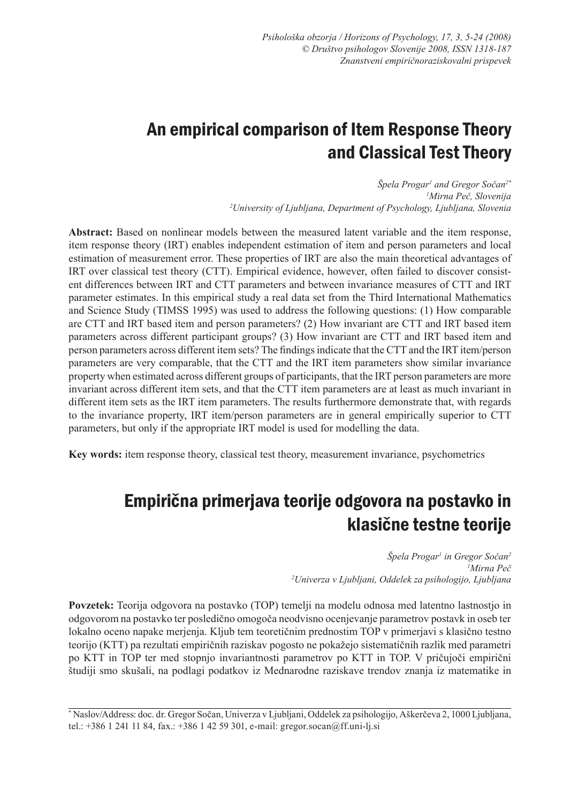# An empirical comparison of Item Response Theory and Classical Test Theory

*Špela Progar1 and Gregor Sočan2\* 1 Mirna Peč, Slovenija 2 University of Ljubljana, Department of Psychology, Ljubljana, Slovenia*

**Abstract:** Based on nonlinear models between the measured latent variable and the item response, item response theory (IRT) enables independent estimation of item and person parameters and local estimation of measurement error. These properties of IRT are also the main theoretical advantages of IRT over classical test theory (CTT). Empirical evidence, however, often failed to discover consistent differences between IRT and CTT parameters and between invariance measures of CTT and IRT parameter estimates. In this empirical study a real data set from the Third International Mathematics and Science Study (TIMSS 1995) was used to address the following questions: (1) How comparable are CTT and IRT based item and person parameters? (2) How invariant are CTT and IRT based item parameters across different participant groups? (3) How invariant are CTT and IRT based item and person parameters across different item sets? The findings indicate that the CTT and the IRT item/person parameters are very comparable, that the CTT and the IRT item parameters show similar invariance property when estimated across different groups of participants, that the IRT person parameters are more invariant across different item sets, and that the CTT item parameters are at least as much invariant in different item sets as the IRT item parameters. The results furthermore demonstrate that, with regards to the invariance property, IRT item/person parameters are in general empirically superior to CTT parameters, but only if the appropriate IRT model is used for modelling the data.

**Key words:** item response theory, classical test theory, measurement invariance, psychometrics

# Empirična primerjava teorije odgovora na postavko in klasične testne teorije

 $S$ pela Progar<sup>1</sup> in Gregor Sočan<sup>2</sup> *1 Mirna Peč 2 Univerza v Ljubljani, Oddelek za psihologijo, Ljubljana*

**Povzetek:** Teorija odgovora na postavko (TOP) temelji na modelu odnosa med latentno lastnostjo in odgovorom na postavko ter posledično omogoča neodvisno ocenjevanje parametrov postavk in oseb ter lokalno oceno napake merjenja. Kljub tem teoretičnim prednostim TOP v primerjavi s klasično testno teorijo (KTT) pa rezultati empiričnih raziskav pogosto ne pokažejo sistematičnih razlik med parametri po KTT in TOP ter med stopnjo invariantnosti parametrov po KTT in TOP. V pričujoči empirični študiji smo skušali, na podlagi podatkov iz Mednarodne raziskave trendov znanja iz matematike in

<sup>\*</sup> Naslov/Address: doc. dr. Gregor Sočan, Univerza v Ljubljani, Oddelek za psihologijo, Aškerčeva 2, 1000 Ljubljana, tel.: +386 1 241 11 84, fax.: +386 1 42 59 301, e-mail: gregor.socan@ff.uni-lj.si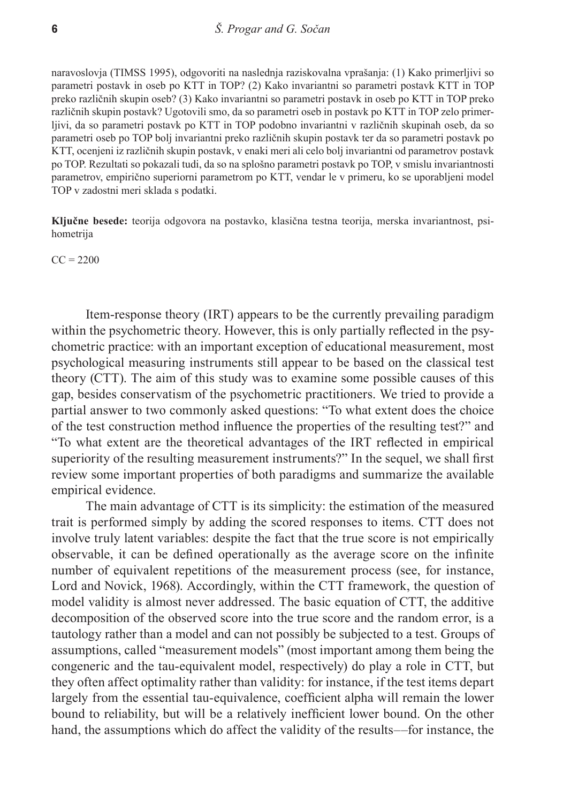naravoslovja (TIMSS 1995), odgovoriti na naslednja raziskovalna vprašanja: (1) Kako primerljivi so parametri postavk in oseb po KTT in TOP? (2) Kako invariantni so parametri postavk KTT in TOP preko različnih skupin oseb? (3) Kako invariantni so parametri postavk in oseb po KTT in TOP preko različnih skupin postavk? Ugotovili smo, da so parametri oseb in postavk po KTT in TOP zelo primerljivi, da so parametri postavk po KTT in TOP podobno invariantni v različnih skupinah oseb, da so parametri oseb po TOP bolj invariantni preko različnih skupin postavk ter da so parametri postavk po KTT, ocenjeni iz različnih skupin postavk, v enaki meri ali celo bolj invariantni od parametrov postavk po TOP. Rezultati so pokazali tudi, da so na splošno parametri postavk po TOP, v smislu invariantnosti parametrov, empirično superiorni parametrom po KTT, vendar le v primeru, ko se uporabljeni model TOP v zadostni meri sklada s podatki.

**Ključne besede:** teorija odgovora na postavko, klasična testna teorija, merska invariantnost, psihometrija

 $CC = 2200$ 

Item-response theory (IRT) appears to be the currently prevailing paradigm within the psychometric theory. However, this is only partially reflected in the psychometric practice: with an important exception of educational measurement, most psychological measuring instruments still appear to be based on the classical test theory (CTT). The aim of this study was to examine some possible causes of this gap, besides conservatism of the psychometric practitioners. We tried to provide a partial answer to two commonly asked questions: "To what extent does the choice of the test construction method influence the properties of the resulting test?" and "To what extent are the theoretical advantages of the IRT reflected in empirical superiority of the resulting measurement instruments?" In the sequel, we shall first review some important properties of both paradigms and summarize the available empirical evidence.

The main advantage of CTT is its simplicity: the estimation of the measured trait is performed simply by adding the scored responses to items. CTT does not involve truly latent variables: despite the fact that the true score is not empirically observable, it can be defined operationally as the average score on the infinite number of equivalent repetitions of the measurement process (see, for instance, Lord and Novick, 1968). Accordingly, within the CTT framework, the question of model validity is almost never addressed. The basic equation of CTT, the additive decomposition of the observed score into the true score and the random error, is a tautology rather than a model and can not possibly be subjected to a test. Groups of assumptions, called "measurement models" (most important among them being the congeneric and the tau-equivalent model, respectively) do play a role in CTT, but they often affect optimality rather than validity: for instance, if the test items depart largely from the essential tau-equivalence, coefficient alpha will remain the lower bound to reliability, but will be a relatively inefficient lower bound. On the other hand, the assumptions which do affect the validity of the results––for instance, the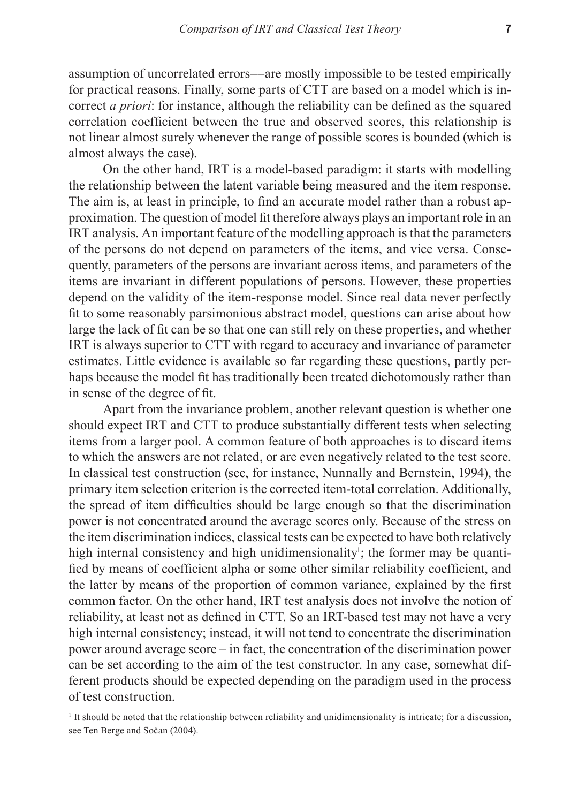assumption of uncorrelated errors––are mostly impossible to be tested empirically for practical reasons. Finally, some parts of CTT are based on a model which is incorrect *a priori*: for instance, although the reliability can be defined as the squared correlation coefficient between the true and observed scores, this relationship is not linear almost surely whenever the range of possible scores is bounded (which is almost always the case).

On the other hand, IRT is a model-based paradigm: it starts with modelling the relationship between the latent variable being measured and the item response. The aim is, at least in principle, to find an accurate model rather than a robust approximation. The question of model fit therefore always plays an important role in an IRT analysis. An important feature of the modelling approach is that the parameters of the persons do not depend on parameters of the items, and vice versa. Consequently, parameters of the persons are invariant across items, and parameters of the items are invariant in different populations of persons. However, these properties depend on the validity of the item-response model. Since real data never perfectly fit to some reasonably parsimonious abstract model, questions can arise about how large the lack of fit can be so that one can still rely on these properties, and whether IRT is always superior to CTT with regard to accuracy and invariance of parameter estimates. Little evidence is available so far regarding these questions, partly perhaps because the model fit has traditionally been treated dichotomously rather than in sense of the degree of fit.

Apart from the invariance problem, another relevant question is whether one should expect IRT and CTT to produce substantially different tests when selecting items from a larger pool. A common feature of both approaches is to discard items to which the answers are not related, or are even negatively related to the test score. In classical test construction (see, for instance, Nunnally and Bernstein, 1994), the primary item selection criterion is the corrected item-total correlation. Additionally, the spread of item difficulties should be large enough so that the discrimination power is not concentrated around the average scores only. Because of the stress on the item discrimination indices, classical tests can be expected to have both relatively high internal consistency and high unidimensionality<sup>1</sup>; the former may be quantified by means of coefficient alpha or some other similar reliability coefficient, and the latter by means of the proportion of common variance, explained by the first common factor. On the other hand, IRT test analysis does not involve the notion of reliability, at least not as defined in CTT. So an IRT-based test may not have a very high internal consistency; instead, it will not tend to concentrate the discrimination power around average score – in fact, the concentration of the discrimination power can be set according to the aim of the test constructor. In any case, somewhat different products should be expected depending on the paradigm used in the process of test construction.

<sup>1</sup> It should be noted that the relationship between reliability and unidimensionality is intricate; for a discussion, see Ten Berge and Sočan (2004).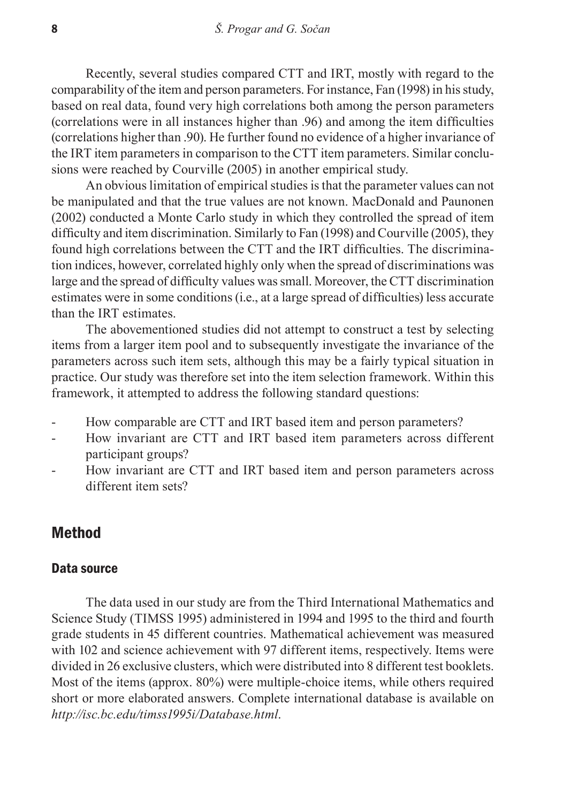Recently, several studies compared CTT and IRT, mostly with regard to the comparability of the item and person parameters. For instance, Fan (1998) in his study, based on real data, found very high correlations both among the person parameters (correlations were in all instances higher than .96) and among the item difficulties (correlations higher than .90). He further found no evidence of a higher invariance of the IRT item parameters in comparison to the CTT item parameters. Similar conclusions were reached by Courville (2005) in another empirical study.

An obvious limitation of empirical studies is that the parameter values can not be manipulated and that the true values are not known. MacDonald and Paunonen (2002) conducted a Monte Carlo study in which they controlled the spread of item difficulty and item discrimination. Similarly to Fan (1998) and Courville (2005), they found high correlations between the CTT and the IRT difficulties. The discrimination indices, however, correlated highly only when the spread of discriminations was large and the spread of difficulty values was small. Moreover, the CTT discrimination estimates were in some conditions (i.e., at a large spread of difficulties) less accurate than the IRT estimates.

The abovementioned studies did not attempt to construct a test by selecting items from a larger item pool and to subsequently investigate the invariance of the parameters across such item sets, although this may be a fairly typical situation in practice. Our study was therefore set into the item selection framework. Within this framework, it attempted to address the following standard questions:

- How comparable are CTT and IRT based item and person parameters?
- How invariant are CTT and IRT based item parameters across different participant groups?
- How invariant are CTT and IRT based item and person parameters across different item sets?

# Method

#### Data source

The data used in our study are from the Third International Mathematics and Science Study (TIMSS 1995) administered in 1994 and 1995 to the third and fourth grade students in 45 different countries. Mathematical achievement was measured with 102 and science achievement with 97 different items, respectively. Items were divided in 26 exclusive clusters, which were distributed into 8 different test booklets. Most of the items (approx. 80%) were multiple-choice items, while others required short or more elaborated answers. Complete international database is available on *http://isc.bc.edu/timss1995i/Database.html*.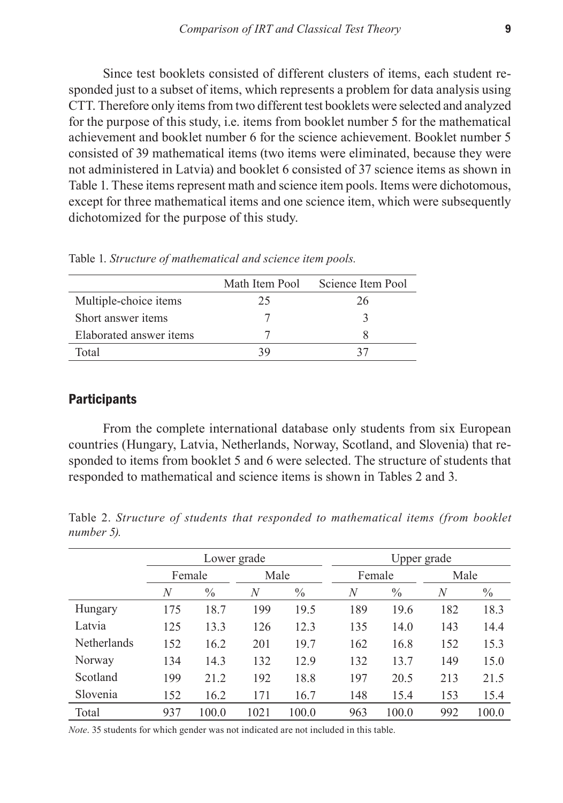Since test booklets consisted of different clusters of items, each student responded just to a subset of items, which represents a problem for data analysis using CTT. Therefore only items from two different test booklets were selected and analyzed for the purpose of this study, i.e. items from booklet number 5 for the mathematical achievement and booklet number 6 for the science achievement. Booklet number 5 consisted of 39 mathematical items (two items were eliminated, because they were not administered in Latvia) and booklet 6 consisted of 37 science items as shown in Table 1. These items represent math and science item pools. Items were dichotomous, except for three mathematical items and one science item, which were subsequently dichotomized for the purpose of this study.

|                         | Math Item Pool | Science Item Pool |
|-------------------------|----------------|-------------------|
| Multiple-choice items   | 25             | 26                |
| Short answer items      |                |                   |
| Elaborated answer items |                |                   |
| Total                   |                |                   |

Table 1. *Structure of mathematical and science item pools.*

#### **Participants**

From the complete international database only students from six European countries (Hungary, Latvia, Netherlands, Norway, Scotland, and Slovenia) that responded to items from booklet 5 and 6 were selected. The structure of students that responded to mathematical and science items is shown in Tables 2 and 3.

|                    |     | Lower grade   |      |               |        | Upper grade   |      |               |
|--------------------|-----|---------------|------|---------------|--------|---------------|------|---------------|
|                    |     | Female        | Male |               | Female |               | Male |               |
|                    | N   | $\frac{0}{0}$ | N    | $\frac{0}{0}$ | N      | $\frac{0}{0}$ | N    | $\frac{0}{0}$ |
| Hungary            | 175 | 18.7          | 199  | 19.5          | 189    | 19.6          | 182  | 18.3          |
| Latvia             | 125 | 13.3          | 126  | 12.3          | 135    | 14.0          | 143  | 14.4          |
| <b>Netherlands</b> | 152 | 16.2          | 201  | 19.7          | 162    | 16.8          | 152  | 15.3          |
| Norway             | 134 | 14.3          | 132  | 12.9          | 132    | 13.7          | 149  | 15.0          |
| Scotland           | 199 | 21.2          | 192  | 18.8          | 197    | 20.5          | 213  | 21.5          |
| Slovenia           | 152 | 16.2          | 171  | 16.7          | 148    | 15.4          | 153  | 15.4          |
| Total              | 937 | 100.0         | 1021 | 100.0         | 963    | 100.0         | 992  | 100.0         |

Table 2. *Structure of students that responded to mathematical items (from booklet number 5).*

*Note*. 35 students for which gender was not indicated are not included in this table.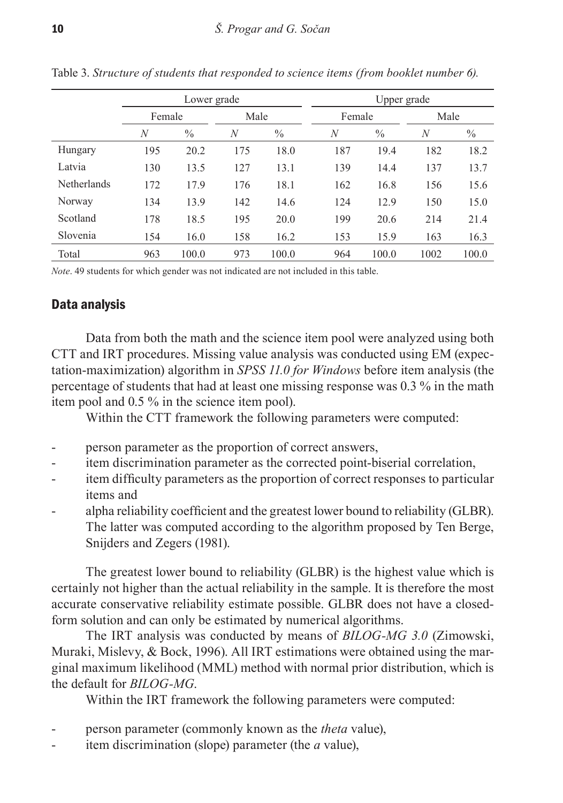|                    |                  | Lower grade |      |               |        | Upper grade   |      |       |
|--------------------|------------------|-------------|------|---------------|--------|---------------|------|-------|
|                    | Female           |             | Male |               | Female |               | Male |       |
|                    | $\boldsymbol{N}$ | $\%$        | N    | $\frac{0}{0}$ | N      | $\frac{0}{0}$ | N    | $\%$  |
| Hungary            | 195              | 20.2        | 175  | 18.0          | 187    | 19.4          | 182  | 18.2  |
| Latvia             | 130              | 13.5        | 127  | 13.1          | 139    | 14.4          | 137  | 13.7  |
| <b>Netherlands</b> | 172              | 17.9        | 176  | 18.1          | 162    | 16.8          | 156  | 15.6  |
| Norway             | 134              | 13.9        | 142  | 14.6          | 124    | 12.9          | 150  | 15.0  |
| Scotland           | 178              | 18.5        | 195  | 20.0          | 199    | 20.6          | 214  | 21.4  |
| Slovenia           | 154              | 16.0        | 158  | 16.2          | 153    | 15.9          | 163  | 16.3  |
| Total              | 963              | 100.0       | 973  | 100.0         | 964    | 100.0         | 1002 | 100.0 |

Table 3. *Structure of students that responded to science items (from booklet number 6).* 

*Note*. 49 students for which gender was not indicated are not included in this table.

## Data analysis

Data from both the math and the science item pool were analyzed using both CTT and IRT procedures. Missing value analysis was conducted using EM (expectation-maximization) algorithm in *SPSS 11.0 for Windows* before item analysis (the percentage of students that had at least one missing response was 0.3 % in the math item pool and 0.5 % in the science item pool).

Within the CTT framework the following parameters were computed:

- person parameter as the proportion of correct answers,
- item discrimination parameter as the corrected point-biserial correlation,
- item difficulty parameters as the proportion of correct responses to particular items and
- alpha reliability coefficient and the greatest lower bound to reliability (GLBR). The latter was computed according to the algorithm proposed by Ten Berge, Snijders and Zegers (1981).

The greatest lower bound to reliability (GLBR) is the highest value which is certainly not higher than the actual reliability in the sample. It is therefore the most accurate conservative reliability estimate possible. GLBR does not have a closedform solution and can only be estimated by numerical algorithms.

The IRT analysis was conducted by means of *BILOG-MG 3.0* (Zimowski, Muraki, Mislevy, & Bock, 1996). All IRT estimations were obtained using the marginal maximum likelihood (MML) method with normal prior distribution, which is the default for *BILOG-MG*.

Within the IRT framework the following parameters were computed:

- person parameter (commonly known as the *theta* value),
- item discrimination (slope) parameter (the *a* value),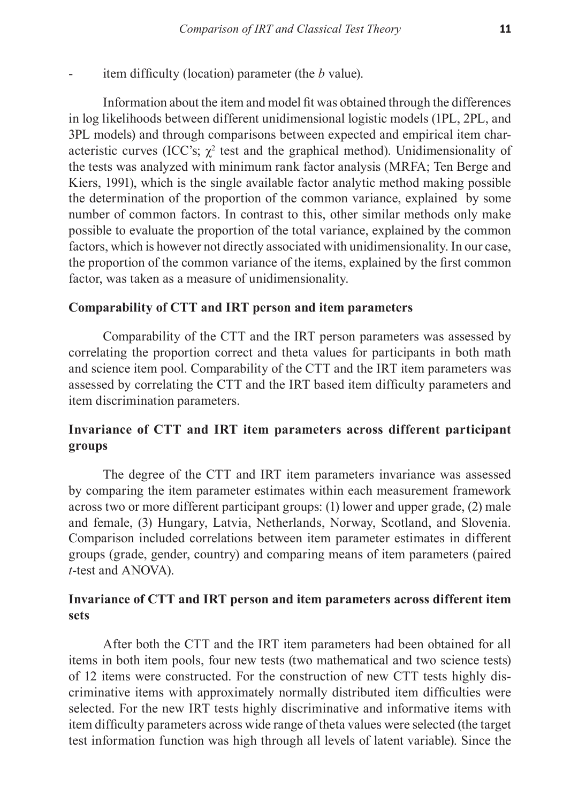item difficulty (location) parameter (the *b* value).

Information about the item and model fit was obtained through the differences in log likelihoods between different unidimensional logistic models (1PL, 2PL, and 3PL models) and through comparisons between expected and empirical item characteristic curves (ICC's;  $\chi^2$  test and the graphical method). Unidimensionality of the tests was analyzed with minimum rank factor analysis (MRFA; Ten Berge and Kiers, 1991), which is the single available factor analytic method making possible the determination of the proportion of the common variance, explained by some number of common factors. In contrast to this, other similar methods only make possible to evaluate the proportion of the total variance, explained by the common factors, which is however not directly associated with unidimensionality. In our case, the proportion of the common variance of the items, explained by the first common factor, was taken as a measure of unidimensionality.

### **Comparability of CTT and IRT person and item parameters**

Comparability of the CTT and the IRT person parameters was assessed by correlating the proportion correct and theta values for participants in both math and science item pool. Comparability of the CTT and the IRT item parameters was assessed by correlating the CTT and the IRT based item difficulty parameters and item discrimination parameters.

## **Invariance of CTT and IRT item parameters across different participant groups**

The degree of the CTT and IRT item parameters invariance was assessed by comparing the item parameter estimates within each measurement framework across two or more different participant groups: (1) lower and upper grade, (2) male and female, (3) Hungary, Latvia, Netherlands, Norway, Scotland, and Slovenia. Comparison included correlations between item parameter estimates in different groups (grade, gender, country) and comparing means of item parameters (paired *t*-test and ANOVA).

### **Invariance of CTT and IRT person and item parameters across different item sets**

After both the CTT and the IRT item parameters had been obtained for all items in both item pools, four new tests (two mathematical and two science tests) of 12 items were constructed. For the construction of new CTT tests highly discriminative items with approximately normally distributed item difficulties were selected. For the new IRT tests highly discriminative and informative items with item difficulty parameters across wide range of theta values were selected (the target test information function was high through all levels of latent variable). Since the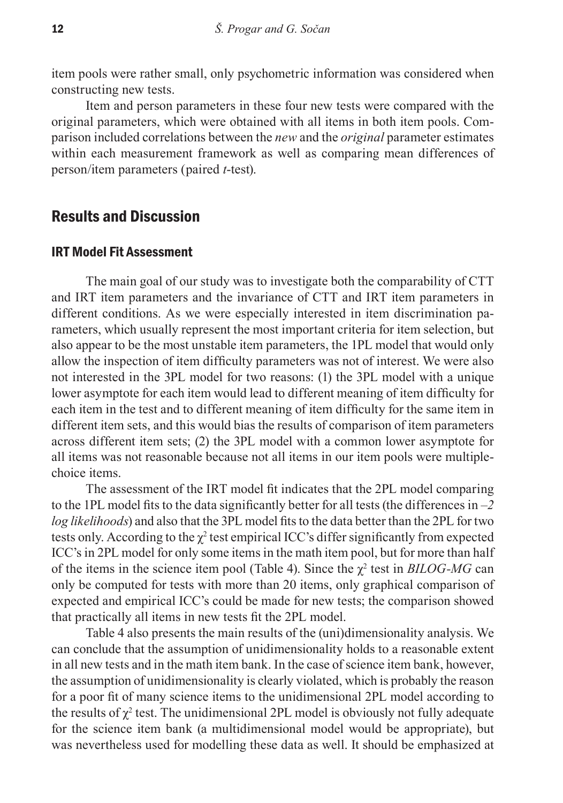item pools were rather small, only psychometric information was considered when constructing new tests.

Item and person parameters in these four new tests were compared with the original parameters, which were obtained with all items in both item pools. Comparison included correlations between the *new* and the *original* parameter estimates within each measurement framework as well as comparing mean differences of person/item parameters (paired *t*-test).

# Results and Discussion

#### IRT Model Fit Assessment

The main goal of our study was to investigate both the comparability of CTT and IRT item parameters and the invariance of CTT and IRT item parameters in different conditions. As we were especially interested in item discrimination parameters, which usually represent the most important criteria for item selection, but also appear to be the most unstable item parameters, the 1PL model that would only allow the inspection of item difficulty parameters was not of interest. We were also not interested in the 3PL model for two reasons: (1) the 3PL model with a unique lower asymptote for each item would lead to different meaning of item difficulty for each item in the test and to different meaning of item difficulty for the same item in different item sets, and this would bias the results of comparison of item parameters across different item sets; (2) the 3PL model with a common lower asymptote for all items was not reasonable because not all items in our item pools were multiplechoice items.

The assessment of the IRT model fit indicates that the 2PL model comparing to the 1PL model fits to the data significantly better for all tests (the differences in *–2 log likelihoods*) and also that the 3PL model fits to the data better than the 2PL for two tests only. According to the  $\chi^2$  test empirical ICC's differ significantly from expected ICC's in 2PL model for only some items in the math item pool, but for more than half of the items in the science item pool (Table 4). Since the  $\chi^2$  test in *BILOG-MG* can only be computed for tests with more than 20 items, only graphical comparison of expected and empirical ICC's could be made for new tests; the comparison showed that practically all items in new tests fit the 2PL model.

Table 4 also presents the main results of the (uni)dimensionality analysis. We can conclude that the assumption of unidimensionality holds to a reasonable extent in all new tests and in the math item bank. In the case of science item bank, however, the assumption of unidimensionality is clearly violated, which is probably the reason for a poor fit of many science items to the unidimensional 2PL model according to the results of  $\chi^2$  test. The unidimensional 2PL model is obviously not fully adequate for the science item bank (a multidimensional model would be appropriate), but was nevertheless used for modelling these data as well. It should be emphasized at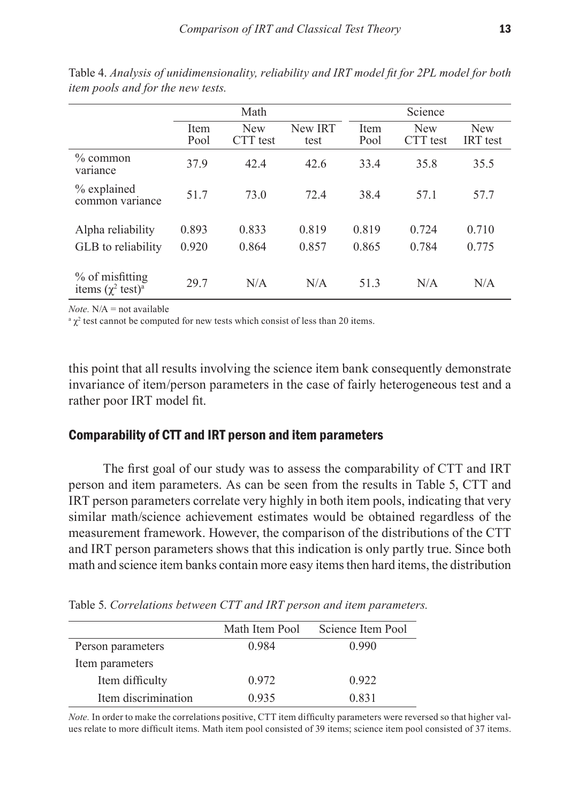|                                                             |              | Math                   |                 |              | Science                |                               |
|-------------------------------------------------------------|--------------|------------------------|-----------------|--------------|------------------------|-------------------------------|
|                                                             | Item<br>Pool | <b>New</b><br>CTT test | New IRT<br>test | Item<br>Pool | <b>New</b><br>CTT test | <b>New</b><br><b>IRT</b> test |
| $%$ common<br>variance                                      | 37.9         | 42.4                   | 42.6            | 33.4         | 35.8                   | 35.5                          |
| % explained<br>common variance                              | 51.7         | 73.0                   | 72.4            | 38.4         | 57.1                   | 57.7                          |
| Alpha reliability                                           | 0.893        | 0.833                  | 0.819           | 0.819        | 0.724                  | 0.710                         |
| GLB to reliability                                          | 0.920        | 0.864                  | 0.857           | 0.865        | 0.784                  | 0.775                         |
| % of misfitting<br>items $(\chi^2 \text{ test})^{\text{a}}$ | 29.7         | N/A                    | N/A             | 51.3         | N/A                    | N/A                           |

Table 4. *Analysis of unidimensionality, reliability and IRT model fit for 2PL model for both item pools and for the new tests.* 

 $Note$   $N/A$  = not available.

 $\alpha$ <sup>a</sup>  $\chi^2$  test cannot be computed for new tests which consist of less than 20 items.

this point that all results involving the science item bank consequently demonstrate invariance of item/person parameters in the case of fairly heterogeneous test and a rather poor IRT model fit.

#### Comparability of CTT and IRT person and item parameters

The first goal of our study was to assess the comparability of CTT and IRT person and item parameters. As can be seen from the results in Table 5, CTT and IRT person parameters correlate very highly in both item pools, indicating that very similar math/science achievement estimates would be obtained regardless of the measurement framework. However, the comparison of the distributions of the CTT and IRT person parameters shows that this indication is only partly true. Since both math and science item banks contain more easy items then hard items, the distribution

Table 5. *Correlations between CTT and IRT person and item parameters.* 

|                     | Math Item Pool | Science Item Pool |
|---------------------|----------------|-------------------|
| Person parameters   | 0.984          | 0.990             |
| Item parameters     |                |                   |
| Item difficulty     | 0.972          | 0.922             |
| Item discrimination | 0.935          | 0.831             |

*Note.* In order to make the correlations positive, CTT item difficulty parameters were reversed so that higher values relate to more difficult items. Math item pool consisted of 39 items; science item pool consisted of 37 items.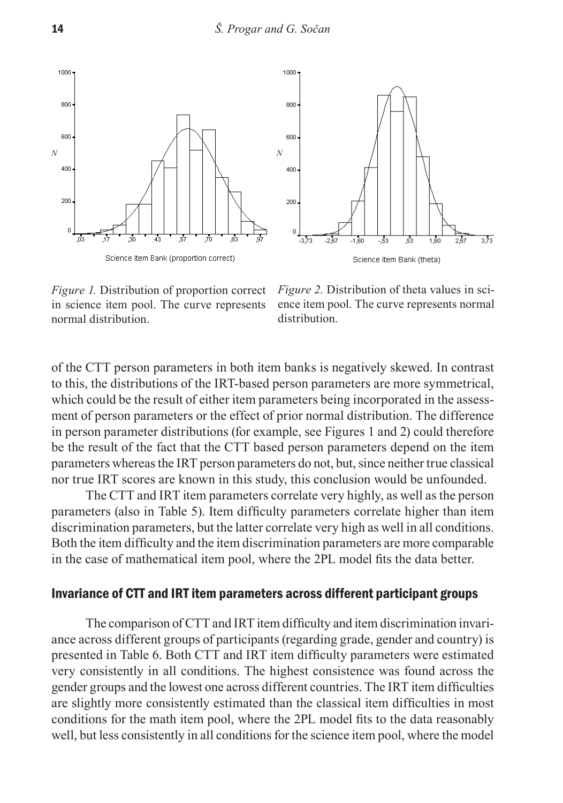



*Figure 1.* Distribution of proportion correct in science item pool. The curve represents normal distribution.

*Figure 2.* Distribution of theta values in science item pool. The curve represents normal distribution.

of the CTT person parameters in both item banks is negatively skewed. In contrast to this, the distributions of the IRT-based person parameters are more symmetrical, which could be the result of either item parameters being incorporated in the assessment of person parameters or the effect of prior normal distribution. The difference in person parameter distributions (for example, see Figures 1 and 2) could therefore be the result of the fact that the CTT based person parameters depend on the item parameters whereas the IRT person parameters do not, but, since neither true classical nor true IRT scores are known in this study, this conclusion would be unfounded.

The CTT and IRT item parameters correlate very highly, as well as the person parameters (also in Table 5). Item difficulty parameters correlate higher than item discrimination parameters, but the latter correlate very high as well in all conditions. Both the item difficulty and the item discrimination parameters are more comparable in the case of mathematical item pool, where the 2PL model fits the data better.

#### Invariance of CTT and IRT item parameters across different participant groups

The comparison of CTT and IRT item difficulty and item discrimination invariance across different groups of participants (regarding grade, gender and country) is presented in Table 6. Both CTT and IRT item difficulty parameters were estimated very consistently in all conditions. The highest consistence was found across the gender groups and the lowest one across different countries. The IRT item difficulties are slightly more consistently estimated than the classical item difficulties in most conditions for the math item pool, where the 2PL model fits to the data reasonably well, but less consistently in all conditions for the science item pool, where the model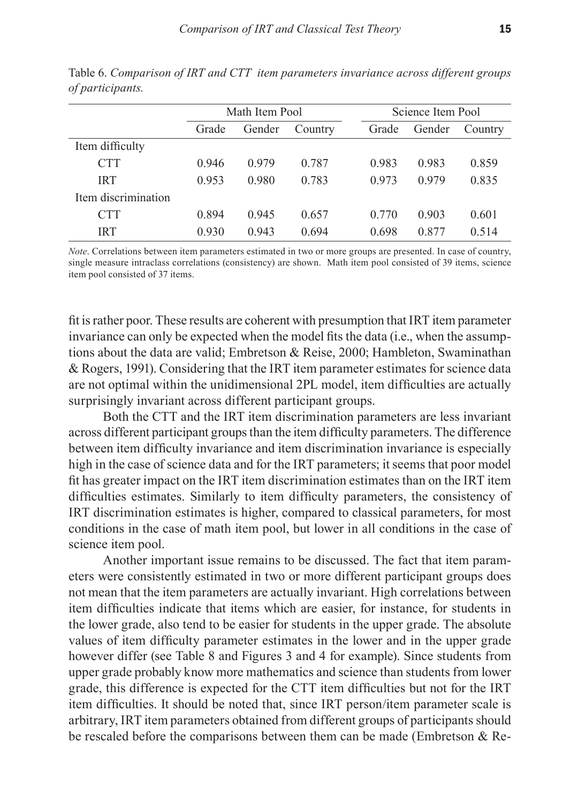|                     |       | Math Item Pool |         |       | Science Item Pool |         |
|---------------------|-------|----------------|---------|-------|-------------------|---------|
|                     | Grade | Gender         | Country | Grade | Gender            | Country |
| Item difficulty     |       |                |         |       |                   |         |
| <b>CTT</b>          | 0.946 | 0.979          | 0.787   | 0.983 | 0.983             | 0.859   |
| <b>IRT</b>          | 0.953 | 0.980          | 0.783   | 0.973 | 0.979             | 0.835   |
| Item discrimination |       |                |         |       |                   |         |
| <b>CTT</b>          | 0.894 | 0.945          | 0.657   | 0.770 | 0.903             | 0.601   |
| <b>IRT</b>          | 0.930 | 0.943          | 0.694   | 0.698 | 0.877             | 0.514   |

Table 6. *Comparison of IRT and CTT item parameters invariance across different groups of participants.* 

*Note*. Correlations between item parameters estimated in two or more groups are presented. In case of country, single measure intraclass correlations (consistency) are shown. Math item pool consisted of 39 items, science item pool consisted of 37 items.

fit is rather poor. These results are coherent with presumption that IRT item parameter invariance can only be expected when the model fits the data (i.e., when the assumptions about the data are valid; Embretson & Reise, 2000; Hambleton, Swaminathan & Rogers, 1991). Considering that the IRT item parameter estimates for science data are not optimal within the unidimensional 2PL model, item difficulties are actually surprisingly invariant across different participant groups.

Both the CTT and the IRT item discrimination parameters are less invariant across different participant groups than the item difficulty parameters. The difference between item difficulty invariance and item discrimination invariance is especially high in the case of science data and for the IRT parameters; it seems that poor model fit has greater impact on the IRT item discrimination estimates than on the IRT item difficulties estimates. Similarly to item difficulty parameters, the consistency of IRT discrimination estimates is higher, compared to classical parameters, for most conditions in the case of math item pool, but lower in all conditions in the case of science item pool.

Another important issue remains to be discussed. The fact that item parameters were consistently estimated in two or more different participant groups does not mean that the item parameters are actually invariant. High correlations between item difficulties indicate that items which are easier, for instance, for students in the lower grade, also tend to be easier for students in the upper grade. The absolute values of item difficulty parameter estimates in the lower and in the upper grade however differ (see Table 8 and Figures 3 and 4 for example). Since students from upper grade probably know more mathematics and science than students from lower grade, this difference is expected for the CTT item difficulties but not for the IRT item difficulties. It should be noted that, since IRT person/item parameter scale is arbitrary, IRT item parameters obtained from different groups of participants should be rescaled before the comparisons between them can be made (Embretson & Re-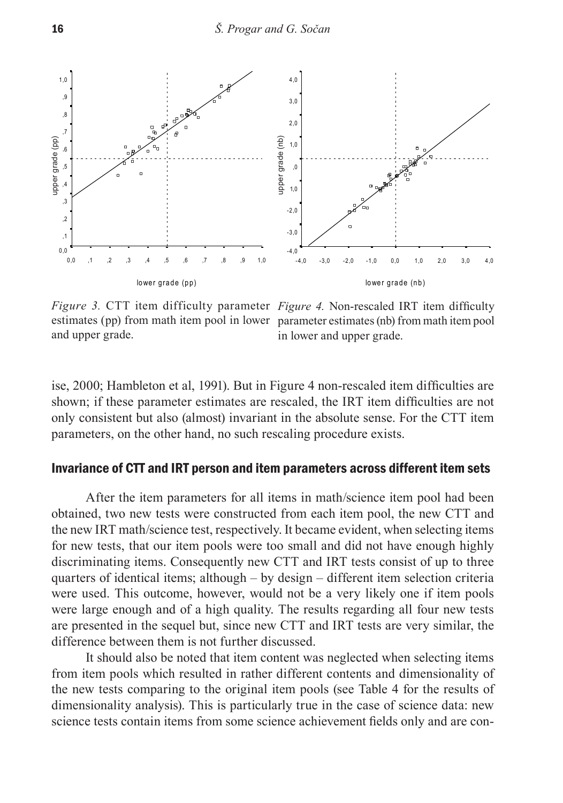

*Figure 3.* CTT item difficulty parameter *Figure 4.* Non-rescaled IRT item difficulty estimates (pp) from math item pool in lower parameter estimates (nb) from math item pool and upper grade.

in lower and upper grade.

ise, 2000; Hambleton et al, 1991). But in Figure 4 non-rescaled item difficulties are shown; if these parameter estimates are rescaled, the IRT item difficulties are not only consistent but also (almost) invariant in the absolute sense. For the CTT item parameters, on the other hand, no such rescaling procedure exists.

# Invariance of CTT and IRT person and item parameters across different item sets

After the item parameters for all items in math/science item pool had been obtained, two new tests were constructed from each item pool, the new CTT and the new IRT math/science test, respectively. It became evident, when selecting items for new tests, that our item pools were too small and did not have enough highly discriminating items. Consequently new CTT and IRT tests consist of up to three quarters of identical items; although – by design – different item selection criteria were used. This outcome, however, would not be a very likely one if item pools were large enough and of a high quality. The results regarding all four new tests are presented in the sequel but, since new CTT and IRT tests are very similar, the difference between them is not further discussed.

It should also be noted that item content was neglected when selecting items from item pools which resulted in rather different contents and dimensionality of the new tests comparing to the original item pools (see Table 4 for the results of dimensionality analysis). This is particularly true in the case of science data: new science tests contain items from some science achievement fields only and are con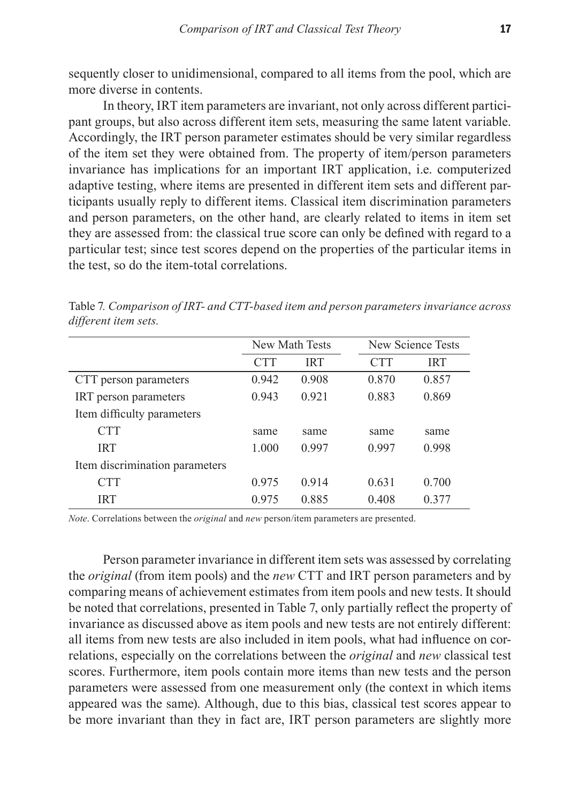sequently closer to unidimensional, compared to all items from the pool, which are more diverse in contents.

In theory, IRT item parameters are invariant, not only across different participant groups, but also across different item sets, measuring the same latent variable. Accordingly, the IRT person parameter estimates should be very similar regardless of the item set they were obtained from. The property of item/person parameters invariance has implications for an important IRT application, i.e. computerized adaptive testing, where items are presented in different item sets and different participants usually reply to different items. Classical item discrimination parameters and person parameters, on the other hand, are clearly related to items in item set they are assessed from: the classical true score can only be defined with regard to a particular test; since test scores depend on the properties of the particular items in the test, so do the item-total correlations.

|                                |            | New Math Tests |            | New Science Tests |
|--------------------------------|------------|----------------|------------|-------------------|
|                                | <b>CTT</b> | <b>IRT</b>     | <b>CTT</b> | <b>IRT</b>        |
| CTT person parameters          | 0.942      | 0.908          | 0.870      | 0.857             |
| IRT person parameters          | 0.943      | 0.921          | 0.883      | 0.869             |
| Item difficulty parameters     |            |                |            |                   |
| <b>CTT</b>                     | same       | same           | same       | same              |
| <b>IRT</b>                     | 1.000      | 0.997          | 0.997      | 0.998             |
| Item discrimination parameters |            |                |            |                   |
| <b>CTT</b>                     | 0.975      | 0.914          | 0.631      | 0.700             |
| IRT                            | 0.975      | 0.885          | 0.408      | 0 377             |

Table 7*. Comparison of IRT- and CTT-based item and person parameters invariance across different item sets.* 

*Note*. Correlations between the *original* and *new* person/item parameters are presented.

Person parameter invariance in different item sets was assessed by correlating the *original* (from item pools) and the *new* CTT and IRT person parameters and by comparing means of achievement estimates from item pools and new tests. It should be noted that correlations, presented in Table 7, only partially reflect the property of invariance as discussed above as item pools and new tests are not entirely different: all items from new tests are also included in item pools, what had influence on correlations, especially on the correlations between the *original* and *new* classical test scores. Furthermore, item pools contain more items than new tests and the person parameters were assessed from one measurement only (the context in which items appeared was the same). Although, due to this bias, classical test scores appear to be more invariant than they in fact are, IRT person parameters are slightly more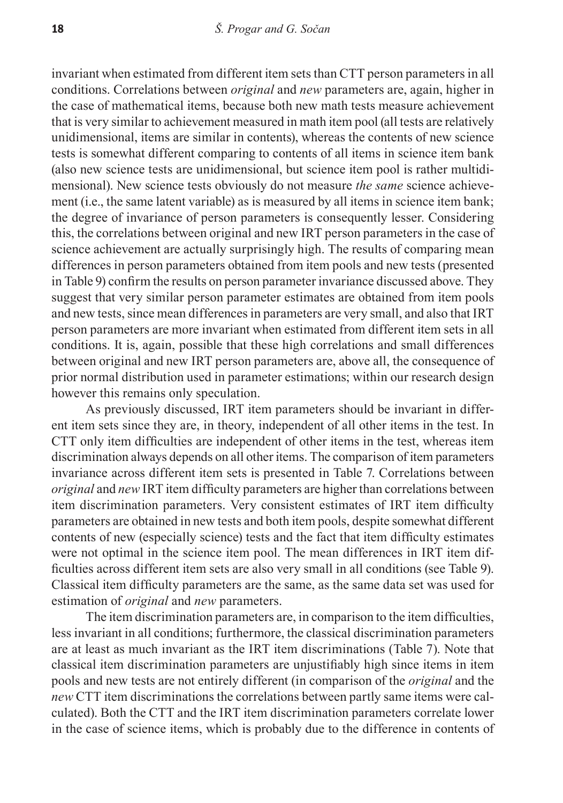invariant when estimated from different item sets than CTT person parameters in all conditions. Correlations between *original* and *new* parameters are, again, higher in the case of mathematical items, because both new math tests measure achievement that is very similar to achievement measured in math item pool (all tests are relatively unidimensional, items are similar in contents), whereas the contents of new science tests is somewhat different comparing to contents of all items in science item bank (also new science tests are unidimensional, but science item pool is rather multidimensional). New science tests obviously do not measure *the same* science achievement (i.e., the same latent variable) as is measured by all items in science item bank; the degree of invariance of person parameters is consequently lesser. Considering this, the correlations between original and new IRT person parameters in the case of science achievement are actually surprisingly high. The results of comparing mean differences in person parameters obtained from item pools and new tests (presented in Table 9) confirm the results on person parameter invariance discussed above. They suggest that very similar person parameter estimates are obtained from item pools and new tests, since mean differences in parameters are very small, and also that IRT person parameters are more invariant when estimated from different item sets in all conditions. It is, again, possible that these high correlations and small differences between original and new IRT person parameters are, above all, the consequence of prior normal distribution used in parameter estimations; within our research design however this remains only speculation.

As previously discussed, IRT item parameters should be invariant in different item sets since they are, in theory, independent of all other items in the test. In CTT only item difficulties are independent of other items in the test, whereas item discrimination always depends on all other items. The comparison of item parameters invariance across different item sets is presented in Table 7. Correlations between *original* and *new* IRT item difficulty parameters are higher than correlations between item discrimination parameters. Very consistent estimates of IRT item difficulty parameters are obtained in new tests and both item pools, despite somewhat different contents of new (especially science) tests and the fact that item difficulty estimates were not optimal in the science item pool. The mean differences in IRT item difficulties across different item sets are also very small in all conditions (see Table 9). Classical item difficulty parameters are the same, as the same data set was used for estimation of *original* and *new* parameters.

The item discrimination parameters are, in comparison to the item difficulties, less invariant in all conditions; furthermore, the classical discrimination parameters are at least as much invariant as the IRT item discriminations (Table 7). Note that classical item discrimination parameters are unjustifiably high since items in item pools and new tests are not entirely different (in comparison of the *original* and the *new* CTT item discriminations the correlations between partly same items were calculated). Both the CTT and the IRT item discrimination parameters correlate lower in the case of science items, which is probably due to the difference in contents of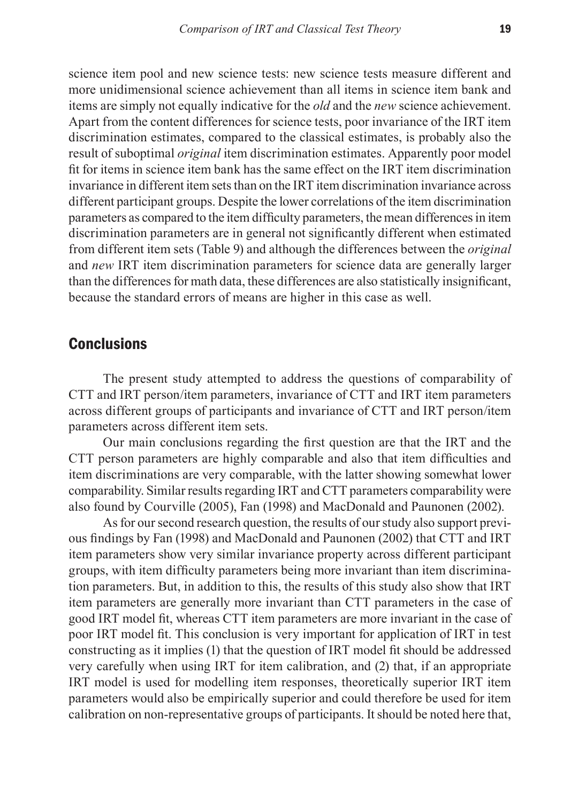science item pool and new science tests: new science tests measure different and more unidimensional science achievement than all items in science item bank and items are simply not equally indicative for the *old* and the *new* science achievement. Apart from the content differences for science tests, poor invariance of the IRT item discrimination estimates, compared to the classical estimates, is probably also the result of suboptimal *original* item discrimination estimates. Apparently poor model fit for items in science item bank has the same effect on the IRT item discrimination invariance in different item sets than on the IRT item discrimination invariance across different participant groups. Despite the lower correlations of the item discrimination parameters as compared to the item difficulty parameters, the mean differences in item discrimination parameters are in general not significantly different when estimated from different item sets (Table 9) and although the differences between the *original* and *new* IRT item discrimination parameters for science data are generally larger than the differences for math data, these differences are also statistically insignificant, because the standard errors of means are higher in this case as well.

# **Conclusions**

The present study attempted to address the questions of comparability of CTT and IRT person/item parameters, invariance of CTT and IRT item parameters across different groups of participants and invariance of CTT and IRT person/item parameters across different item sets.

Our main conclusions regarding the first question are that the IRT and the CTT person parameters are highly comparable and also that item difficulties and item discriminations are very comparable, with the latter showing somewhat lower comparability. Similar results regarding IRT and CTT parameters comparability were also found by Courville (2005), Fan (1998) and MacDonald and Paunonen (2002).

As for our second research question, the results of our study also support previous findings by Fan (1998) and MacDonald and Paunonen (2002) that CTT and IRT item parameters show very similar invariance property across different participant groups, with item difficulty parameters being more invariant than item discrimination parameters. But, in addition to this, the results of this study also show that IRT item parameters are generally more invariant than CTT parameters in the case of good IRT model fit, whereas CTT item parameters are more invariant in the case of poor IRT model fit. This conclusion is very important for application of IRT in test constructing as it implies (1) that the question of IRT model fit should be addressed very carefully when using IRT for item calibration, and (2) that, if an appropriate IRT model is used for modelling item responses, theoretically superior IRT item parameters would also be empirically superior and could therefore be used for item calibration on non-representative groups of participants. It should be noted here that,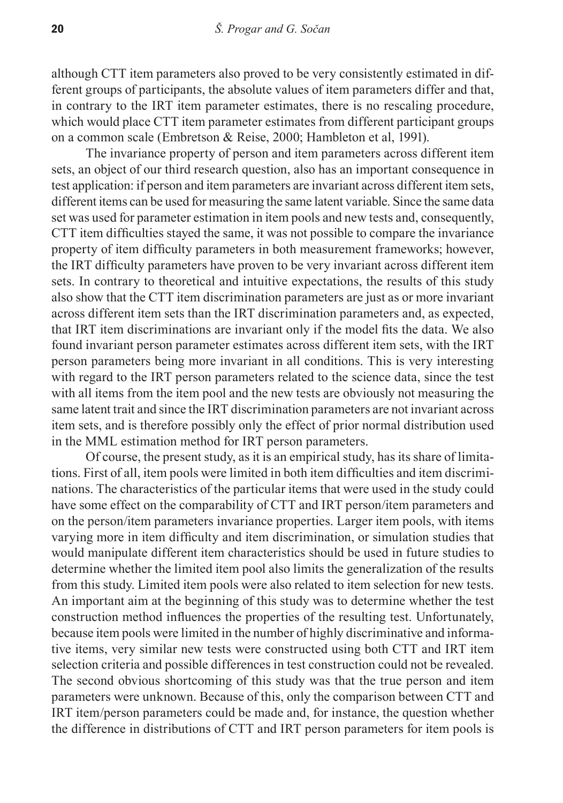although CTT item parameters also proved to be very consistently estimated in different groups of participants, the absolute values of item parameters differ and that, in contrary to the IRT item parameter estimates, there is no rescaling procedure, which would place CTT item parameter estimates from different participant groups on a common scale (Embretson & Reise, 2000; Hambleton et al, 1991).

The invariance property of person and item parameters across different item sets, an object of our third research question, also has an important consequence in test application: if person and item parameters are invariant across different item sets, different items can be used for measuring the same latent variable. Since the same data set was used for parameter estimation in item pools and new tests and, consequently, CTT item difficulties stayed the same, it was not possible to compare the invariance property of item difficulty parameters in both measurement frameworks; however, the IRT difficulty parameters have proven to be very invariant across different item sets. In contrary to theoretical and intuitive expectations, the results of this study also show that the CTT item discrimination parameters are just as or more invariant across different item sets than the IRT discrimination parameters and, as expected, that IRT item discriminations are invariant only if the model fits the data. We also found invariant person parameter estimates across different item sets, with the IRT person parameters being more invariant in all conditions. This is very interesting with regard to the IRT person parameters related to the science data, since the test with all items from the item pool and the new tests are obviously not measuring the same latent trait and since the IRT discrimination parameters are not invariant across item sets, and is therefore possibly only the effect of prior normal distribution used in the MML estimation method for IRT person parameters.

Of course, the present study, as it is an empirical study, has its share of limitations. First of all, item pools were limited in both item difficulties and item discriminations. The characteristics of the particular items that were used in the study could have some effect on the comparability of CTT and IRT person/item parameters and on the person/item parameters invariance properties. Larger item pools, with items varying more in item difficulty and item discrimination, or simulation studies that would manipulate different item characteristics should be used in future studies to determine whether the limited item pool also limits the generalization of the results from this study. Limited item pools were also related to item selection for new tests. An important aim at the beginning of this study was to determine whether the test construction method influences the properties of the resulting test. Unfortunately, because item pools were limited in the number of highly discriminative and informative items, very similar new tests were constructed using both CTT and IRT item selection criteria and possible differences in test construction could not be revealed. The second obvious shortcoming of this study was that the true person and item parameters were unknown. Because of this, only the comparison between CTT and IRT item/person parameters could be made and, for instance, the question whether the difference in distributions of CTT and IRT person parameters for item pools is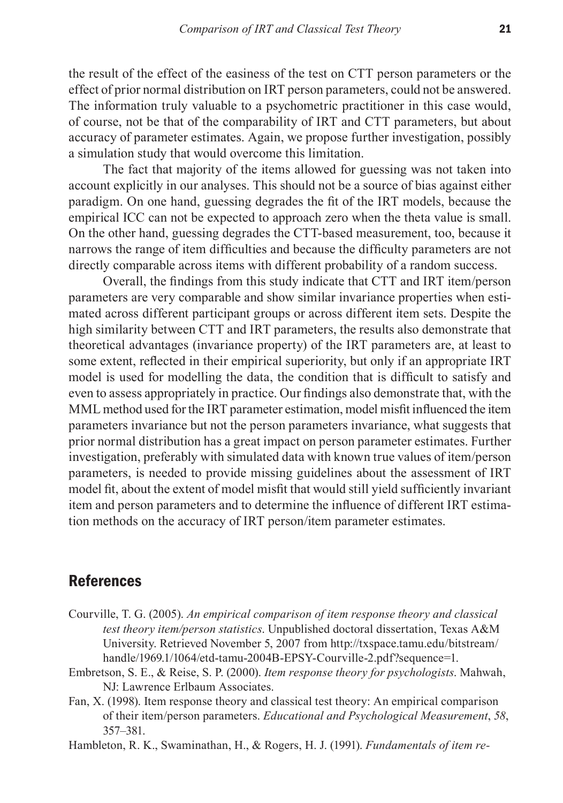the result of the effect of the easiness of the test on CTT person parameters or the effect of prior normal distribution on IRT person parameters, could not be answered. The information truly valuable to a psychometric practitioner in this case would, of course, not be that of the comparability of IRT and CTT parameters, but about accuracy of parameter estimates. Again, we propose further investigation, possibly a simulation study that would overcome this limitation.

The fact that majority of the items allowed for guessing was not taken into account explicitly in our analyses. This should not be a source of bias against either paradigm. On one hand, guessing degrades the fit of the IRT models, because the empirical ICC can not be expected to approach zero when the theta value is small. On the other hand, guessing degrades the CTT-based measurement, too, because it narrows the range of item difficulties and because the difficulty parameters are not directly comparable across items with different probability of a random success.

Overall, the findings from this study indicate that CTT and IRT item/person parameters are very comparable and show similar invariance properties when estimated across different participant groups or across different item sets. Despite the high similarity between CTT and IRT parameters, the results also demonstrate that theoretical advantages (invariance property) of the IRT parameters are, at least to some extent, reflected in their empirical superiority, but only if an appropriate IRT model is used for modelling the data, the condition that is difficult to satisfy and even to assess appropriately in practice. Our findings also demonstrate that, with the MML method used for the IRT parameter estimation, model misfit influenced the item parameters invariance but not the person parameters invariance, what suggests that prior normal distribution has a great impact on person parameter estimates. Further investigation, preferably with simulated data with known true values of item/person parameters, is needed to provide missing guidelines about the assessment of IRT model fit, about the extent of model misfit that would still yield sufficiently invariant item and person parameters and to determine the influence of different IRT estimation methods on the accuracy of IRT person/item parameter estimates.

# References

- Courville, T. G. (2005). *An empirical comparison of item response theory and classical test theory item/person statistics*. Unpublished doctoral dissertation, Texas A&M University. Retrieved November 5, 2007 from http://txspace.tamu.edu/bitstream/ handle/1969.1/1064/etd-tamu-2004B-EPSY-Courville-2.pdf?sequence=1.
- Embretson, S. E., & Reise, S. P. (2000). *Item response theory for psychologists*. Mahwah, NJ: Lawrence Erlbaum Associates.
- Fan, X. (1998). Item response theory and classical test theory: An empirical comparison of their item/person parameters. *Educational and Psychological Measurement*, *58*, 357–381.
- Hambleton, R. K., Swaminathan, H., & Rogers, H. J. (1991). *Fundamentals of item re-*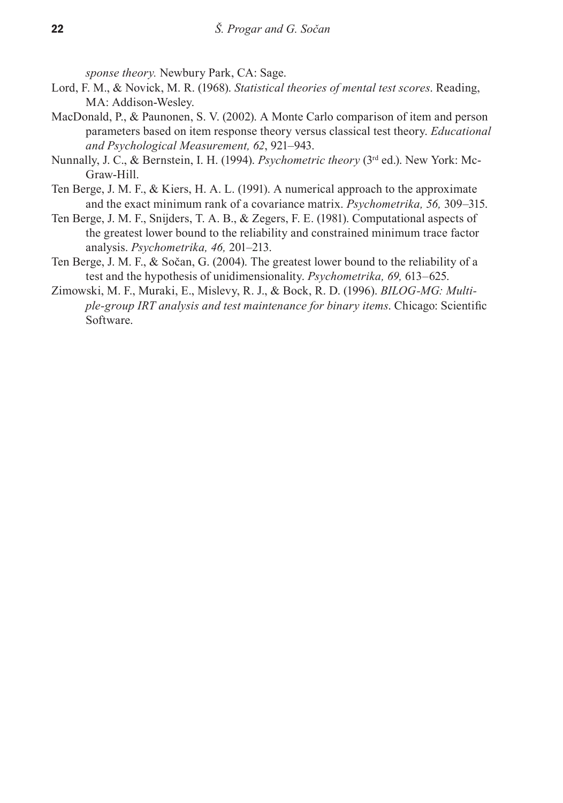*sponse theory.* Newbury Park, CA: Sage.

- Lord, F. M., & Novick, M. R. (1968). *Statistical theories of mental test scores*. Reading, MA: Addison-Wesley.
- MacDonald, P., & Paunonen, S. V. (2002). A Monte Carlo comparison of item and person parameters based on item response theory versus classical test theory. *Educational and Psychological Measurement, 62*, 921–943.
- Nunnally, J. C., & Bernstein, I. H. (1994). *Psychometric theory* (3rd ed.). New York: Mc-Graw-Hill.
- Ten Berge, J. M. F., & Kiers, H. A. L. (1991). A numerical approach to the approximate and the exact minimum rank of a covariance matrix. *Psychometrika, 56,* 309–315.
- Ten Berge, J. M. F., Snijders, T. A. B., & Zegers, F. E. (1981). Computational aspects of the greatest lower bound to the reliability and constrained minimum trace factor analysis. *Psychometrika, 46,* 201–213.
- Ten Berge, J. M. F., & Sočan, G. (2004). The greatest lower bound to the reliability of a test and the hypothesis of unidimensionality. *Psychometrika, 69,* 613–625.
- Zimowski, M. F., Muraki, E., Mislevy, R. J., & Bock, R. D. (1996). *BILOG-MG: Multiple-group IRT analysis and test maintenance for binary items*. Chicago: Scientific Software.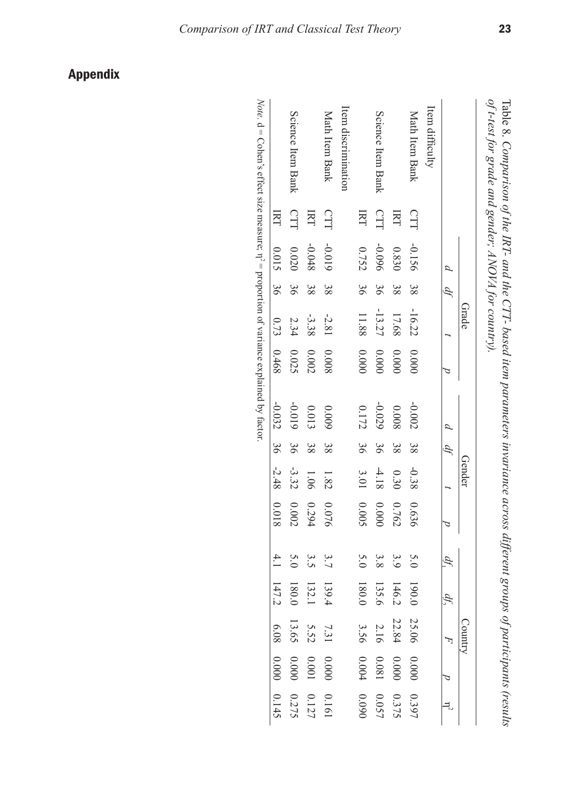|                     |     |                             |               | Grade    |           |           |    | Gender  |       |     |               | ွ<br>Anum |                                                                                  |                                                           |
|---------------------|-----|-----------------------------|---------------|----------|-----------|-----------|----|---------|-------|-----|---------------|-----------|----------------------------------------------------------------------------------|-----------------------------------------------------------|
|                     |     | $\mathcal{L}_{\mathcal{L}}$ | $\mathcal{H}$ |          |           | $\beta$   | Ą  |         |       | ģ   | d).           |           |                                                                                  |                                                           |
| Item difficulty     |     |                             |               |          |           |           |    |         |       |     |               |           |                                                                                  |                                                           |
| Math Item Bank      | CTT | -0.156                      | 38            | $-16.22$ | 0.0000    | $-0.002$  | 38 | $-0.38$ | 0.636 | 5.0 | 190.0         | 25.06     |                                                                                  |                                                           |
|                     | IRT | 0.830                       | 38            | 17.68    | 0.0000    | 8000      | 38 | 0.30    | 0.762 | 3.9 | 146.2         | 22.84     | $\begin{array}{c} 0.000 \\ 0.000 \end{array}$                                    | $\begin{array}{l} 0.397 \\ 0.375 \\ 0.057 \\ \end{array}$ |
| Science Item Bank   | CTT | 960'0-                      | 96            | $-13.27$ | 0.0000    | $-0.029$  | 96 | $-4.18$ | 00000 | 3.8 | 135.6         | 2.16      |                                                                                  |                                                           |
|                     | EKT | 0.752                       | 36            | 11.88    | $0.000\,$ | $0.172\,$ | 36 | 3.01    | 0.005 | 5.0 | 180.0         | 3.56      | $0.081$<br>0.004                                                                 |                                                           |
| Item discrimination |     |                             |               |          |           |           |    |         |       |     |               |           |                                                                                  |                                                           |
| Math Item Bank      | CTT | -0.019                      | 38            | $-2.81$  | 8000      | 6000      | 38 | 1.82    | 0.076 | 3.7 | 139.4         | 7.31      |                                                                                  |                                                           |
|                     | E   | $-0.048$                    | 38            | $-3.38$  | $0.002\,$ | 0.013     | 38 | 1.06    | 0.294 | 3.5 | 132.1         | 5.52      | $\begin{array}{ccc} 0.000 & 0.161 \\ 0.001 & 0.127 \\ 0.000 & 0.275 \end{array}$ |                                                           |
| Science Item Bank   | CTT | 0.020                       | 36            | 2.34     | 0.025     | $-0.019$  | 99 | $-3.32$ | 0.002 | 5.0 | 180.0         | 13.65     |                                                                                  |                                                           |
|                     | E   | 0.015                       | 36            | 0.73     | 0.468     | $-0.032$  | 36 | $-2.48$ | 81000 |     | $4.1$ $147.2$ | 6.08      | 0.00000000145                                                                    |                                                           |

Table 8. Comparison of the IRT- and the CTT- based item parameters invariance across different groups of participants (results  *Comparison of the IRT- and the CTT- based item parameters invariance across different groups of participants (results of t-test for grade and gender; ANOVA for country).* 

*Note.*  $\mathrm{d} = \mathrm{Cohen}$ 's effect size measure;  $\mathrm{\eta}$ **Conen s** cricci  $\alpha$  is a measure,  $\eta^2 - \rho$  opportion of variance explained by lactor.  $2 =$  proportion of variance explained by factor.